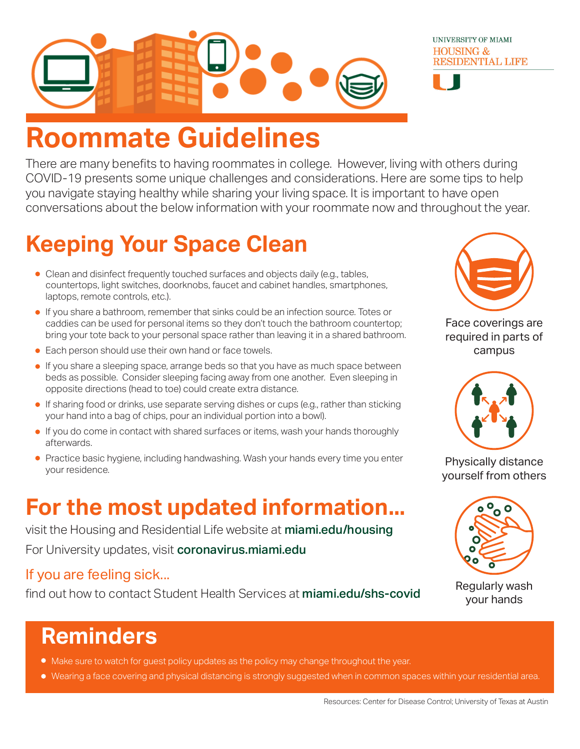

# **Roommate Guidelines**

There are many benefits to having roommates in college. However, living with others during COVID-19 presents some unique challenges and considerations. Here are some tips to help you navigate staying healthy while sharing your living space. It is important to have open conversations about the below information with your roommate now and throughout the year.

## **Keeping Your Space Clean**

- Clean and disinfect frequently touched surfaces and objects daily (e.g., tables, countertops, light switches, doorknobs, faucet and cabinet handles, smartphones, laptops, remote controls, etc.).
- If you share a bathroom, remember that sinks could be an infection source. Totes or caddies can be used for personal items so they don't touch the bathroom countertop; bring your tote back to your personal space rather than leaving it in a shared bathroom.
- **Each person should use their own hand or face towels.**
- If you share a sleeping space, arrange beds so that you have as much space between beds as possible. Consider sleeping facing away from one another. Even sleeping in opposite directions (head to toe) could create extra distance.
- If sharing food or drinks, use separate serving dishes or cups (e.g., rather than sticking your hand into a bag of chips, pour an individual portion into a bowl).
- **If you do come in contact with shared surfaces or items, wash your hands thoroughly** afterwards.
- Practice basic hygiene, including handwashing. Wash your hands every time you enter your residence.

### **For the most updated information...**

visit the Housing and Residential Life website at miami.edu/housing For University updates, visit coronavirus.miami.edu

### If you are feeling sick...

find out how to contact Student Health Services at miami.edu/shs-covid



UNIVERSITY OF MIAMI **HOUSING &** 

**RESIDENTIAL LIFE** 

Face coverings are required in parts of campus



Physically distance yourself from others



Regularly wash your hands

## **Reminders**

- $\bullet$  Make sure to watch for guest policy updates as the policy may change throughout the year.
- Wearing a face covering and physical distancing is strongly suggested when in common spaces within your residential area.